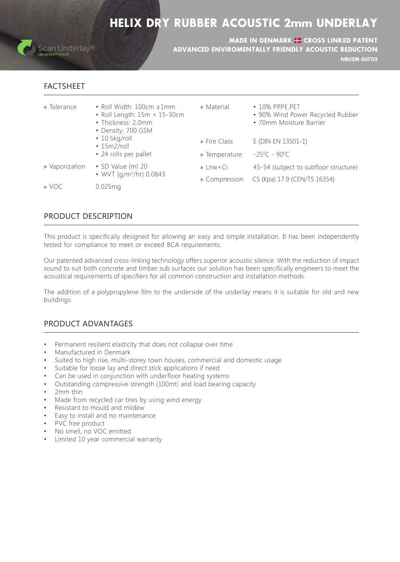## **HELIX DRY RUBBER ACOUSTIC 2mm UNDERLAY**



**NBU2M-SU702** MADE IN DENMARK **H** CROSS LINKED PATENT ADVANCED ENVIROMENTALLY FRIENDLY ACOUSTIC REDUCTION

## FACTSHEET

| • Roll Width: $100cm \pm 1mm$  | » Material |  |
|--------------------------------|------------|--|
| • Roll Length: $15m + 15-30cm$ |            |  |
| • Thickness: 2.0 $mm$          |            |  |
|                                |            |  |

- Density: 700 GSM
- $\cdot$  10.5 $kg$ /roll
- $\cdot$  15m2/roll
- 24 rolls per pallet
- Ci+Lnw » 20) m (Value SD Vaporization» • WVT (g/m<sup>2</sup>/hr) 0.0843
- 10% PP.PE.PET
	- 90% Wind Power Recycled Rubber
	- 70mm Moisture Barrier
- » Fire Class E (DIN EN 13501-1)
- » Temperature  $C - 90^{\circ}C$ 
	- 45-54 (subject to subfloor structure)
	- » Compression CS (Kpa) 17.9 (CEN/TS 16354)

mg0.025 VOC»

## PRODUCT DESCRIPTION

This product is specifically designed for allowing an easy and simple installation. It has been independently tested for compliance to meet or exceed BCA requirements.

Our patented advanced cross-linking technology offers superior acoustic silence. With the reduction of impact sound to suit both concrete and timber sub surfaces our solution has been specifically engineers to meet the acoustical requirements of specifiers for all common construction and installation methods.

The addition of a polypropylene film to the underside of the underlay means it is suitable for old and new buildings

### PRODUCT ADVANTAGES

- Permanent resilient elasticity that does not collapse over time
- Manufactured in Denmark
- Suited to high rise, multi-storey town houses, commercial and domestic usage
- Suitable for loose lay and direct stick applications if need
- Can be used in conjunction with underfloor heating systems
- Outstanding compressive strength (100mt) and load bearing capacity
- 2<sub>mm</sub> thin
- Made from recycled car tires by using wind energy
- Resistant to mould and mildew
- Easy to install and no maintenance
- PVC free product
- No smell, no VOC emitted
- Limited 10 year commercial warranty